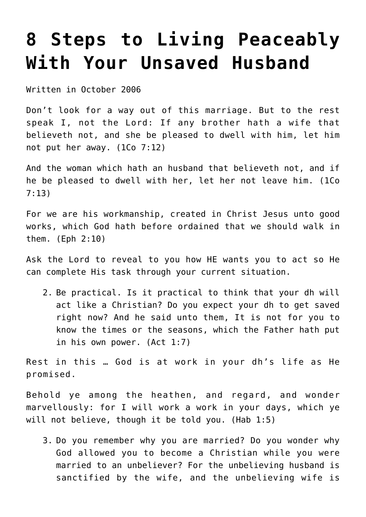## **[8 Steps to Living Peaceably](https://maranatha.earnestlycontending.com/2021/09/22/8-steps-to-living-peaceably-with-your-unsaved-husband/) [With Your Unsaved Husband](https://maranatha.earnestlycontending.com/2021/09/22/8-steps-to-living-peaceably-with-your-unsaved-husband/)**

Written in October 2006

Don't look for a way out of this marriage. But to the rest speak I, not the Lord: If any brother hath a wife that believeth not, and she be pleased to dwell with him, let him not put her away. (1Co 7:12)

And the woman which hath an husband that believeth not, and if he be pleased to dwell with her, let her not leave him. (1Co 7:13)

For we are his workmanship, created in Christ Jesus unto good works, which God hath before ordained that we should walk in them. (Eph 2:10)

Ask the Lord to reveal to you how HE wants you to act so He can complete His task through your current situation.

2. Be practical. Is it practical to think that your dh will act like a Christian? Do you expect your dh to get saved right now? And he said unto them, It is not for you to know the times or the seasons, which the Father hath put in his own power. (Act 1:7)

Rest in this … God is at work in your dh's life as He promised.

Behold ye among the heathen, and regard, and wonder marvellously: for I will work a work in your days, which ye will not believe, though it be told you. (Hab 1:5)

3. Do you remember why you are married? Do you wonder why God allowed you to become a Christian while you were married to an unbeliever? For the unbelieving husband is sanctified by the wife, and the unbelieving wife is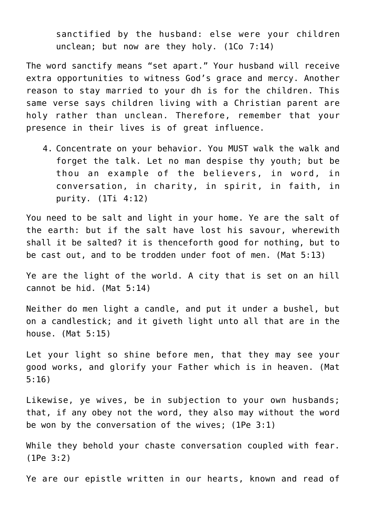sanctified by the husband: else were your children unclean; but now are they holy. (1Co 7:14)

The word sanctify means "set apart." Your husband will receive extra opportunities to witness God's grace and mercy. Another reason to stay married to your dh is for the children. This same verse says children living with a Christian parent are holy rather than unclean. Therefore, remember that your presence in their lives is of great influence.

4. Concentrate on your behavior. You MUST walk the walk and forget the talk. Let no man despise thy youth; but be thou an example of the believers, in word, in conversation, in charity, in spirit, in faith, in purity. (1Ti 4:12)

You need to be salt and light in your home. Ye are the salt of the earth: but if the salt have lost his savour, wherewith shall it be salted? it is thenceforth good for nothing, but to be cast out, and to be trodden under foot of men. (Mat 5:13)

Ye are the light of the world. A city that is set on an hill cannot be hid. (Mat 5:14)

Neither do men light a candle, and put it under a bushel, but on a candlestick; and it giveth light unto all that are in the house. (Mat 5:15)

Let your light so shine before men, that they may see your good works, and glorify your Father which is in heaven. (Mat 5:16)

Likewise, ye wives, be in subjection to your own husbands; that, if any obey not the word, they also may without the word be won by the conversation of the wives; (1Pe 3:1)

While they behold your chaste conversation coupled with fear. (1Pe 3:2)

Ye are our epistle written in our hearts, known and read of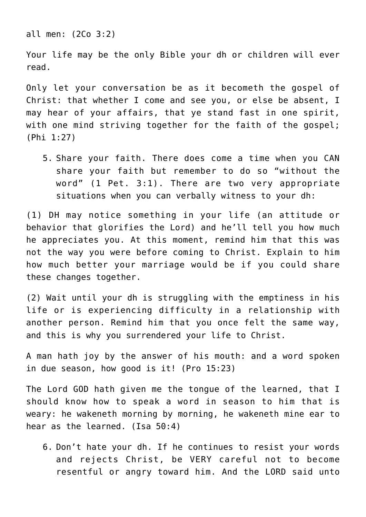all men: (2Co 3:2)

Your life may be the only Bible your dh or children will ever read.

Only let your conversation be as it becometh the gospel of Christ: that whether I come and see you, or else be absent, I may hear of your affairs, that ye stand fast in one spirit, with one mind striving together for the faith of the gospel; (Phi 1:27)

5. Share your faith. There does come a time when you CAN share your faith but remember to do so "without the word" (1 Pet. 3:1). There are two very appropriate situations when you can verbally witness to your dh:

(1) DH may notice something in your life (an attitude or behavior that glorifies the Lord) and he'll tell you how much he appreciates you. At this moment, remind him that this was not the way you were before coming to Christ. Explain to him how much better your marriage would be if you could share these changes together.

(2) Wait until your dh is struggling with the emptiness in his life or is experiencing difficulty in a relationship with another person. Remind him that you once felt the same way, and this is why you surrendered your life to Christ.

A man hath joy by the answer of his mouth: and a word spoken in due season, how good is it! (Pro 15:23)

The Lord GOD hath given me the tongue of the learned, that I should know how to speak a word in season to him that is weary: he wakeneth morning by morning, he wakeneth mine ear to hear as the learned. (Isa 50:4)

6. Don't hate your dh. If he continues to resist your words and rejects Christ, be VERY careful not to become resentful or angry toward him. And the LORD said unto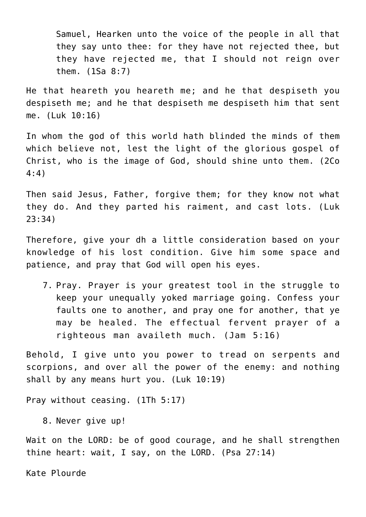Samuel, Hearken unto the voice of the people in all that they say unto thee: for they have not rejected thee, but they have rejected me, that I should not reign over them. (1Sa 8:7)

He that heareth you heareth me; and he that despiseth you despiseth me; and he that despiseth me despiseth him that sent me. (Luk 10:16)

In whom the god of this world hath blinded the minds of them which believe not, lest the light of the glorious gospel of Christ, who is the image of God, should shine unto them. (2Co 4:4)

Then said Jesus, Father, forgive them; for they know not what they do. And they parted his raiment, and cast lots. (Luk 23:34)

Therefore, give your dh a little consideration based on your knowledge of his lost condition. Give him some space and patience, and pray that God will open his eyes.

7. Pray. Prayer is your greatest tool in the struggle to keep your unequally yoked marriage going. Confess your faults one to another, and pray one for another, that ye may be healed. The effectual fervent prayer of a righteous man availeth much. (Jam 5:16)

Behold, I give unto you power to tread on serpents and scorpions, and over all the power of the enemy: and nothing shall by any means hurt you. (Luk 10:19)

Pray without ceasing. (1Th 5:17)

8. Never give up!

Wait on the LORD: be of good courage, and he shall strengthen thine heart: wait, I say, on the LORD. (Psa 27:14)

Kate Plourde